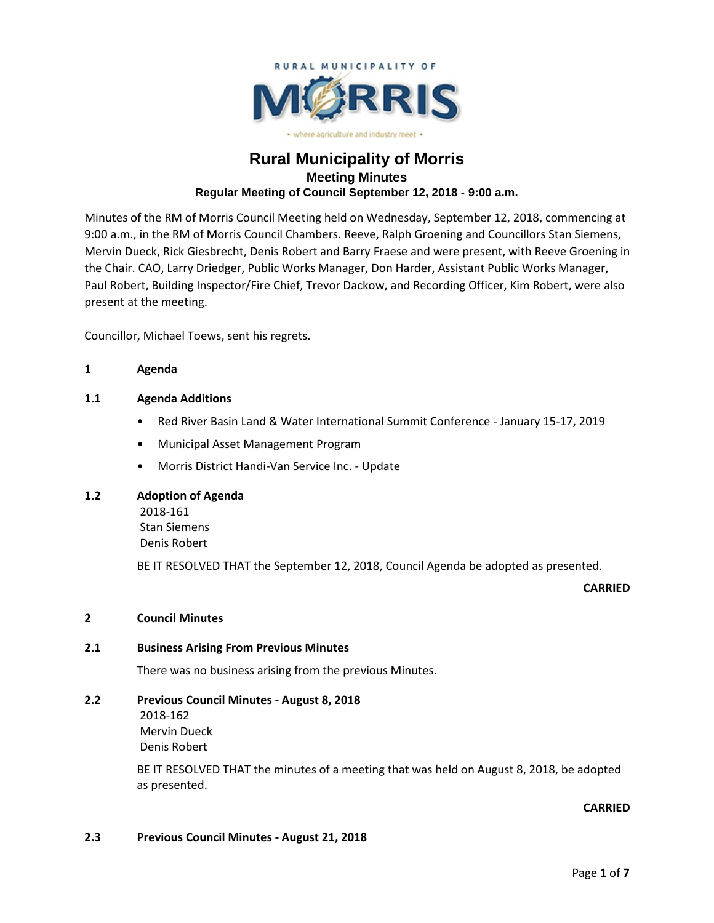

## **Rural Municipality of Morris Meeting Minutes Regular Meeting of Council September 12, 2018 - 9:00 a.m.**

Minutes of the RM of Morris Council Meeting held on Wednesday, September 12, 2018, commencing at 9:00 a.m., in the RM of Morris Council Chambers. Reeve, Ralph Groening and Councillors Stan Siemens, Mervin Dueck, Rick Giesbrecht, Denis Robert and Barry Fraese and were present, with Reeve Groening in the Chair. CAO, Larry Driedger, Public Works Manager, Don Harder, Assistant Public Works Manager, Paul Robert, Building Inspector/Fire Chief, Trevor Dackow, and Recording Officer, Kim Robert, were also present at the meeting.

Councillor, Michael Toews, sent his regrets.

### **1 Agenda**

### **1.1 Agenda Additions**

- Red River Basin Land & Water International Summit Conference January 15-17, 2019
- Municipal Asset Management Program
- Morris District Handi-Van Service Inc. Update

### **1.2 Adoption of Agenda**

2018-161 Stan Siemens Denis Robert

BE IT RESOLVED THAT the September 12, 2018, Council Agenda be adopted as presented.

#### **CARRIED**

### **2 Council Minutes**

### **2.1 Business Arising From Previous Minutes**

There was no business arising from the previous Minutes.

### **2.2 Previous Council Minutes - August 8, 2018**

2018-162 Mervin Dueck Denis Robert

BE IT RESOLVED THAT the minutes of a meeting that was held on August 8, 2018, be adopted as presented.

### **CARRIED**

### **2.3 Previous Council Minutes - August 21, 2018**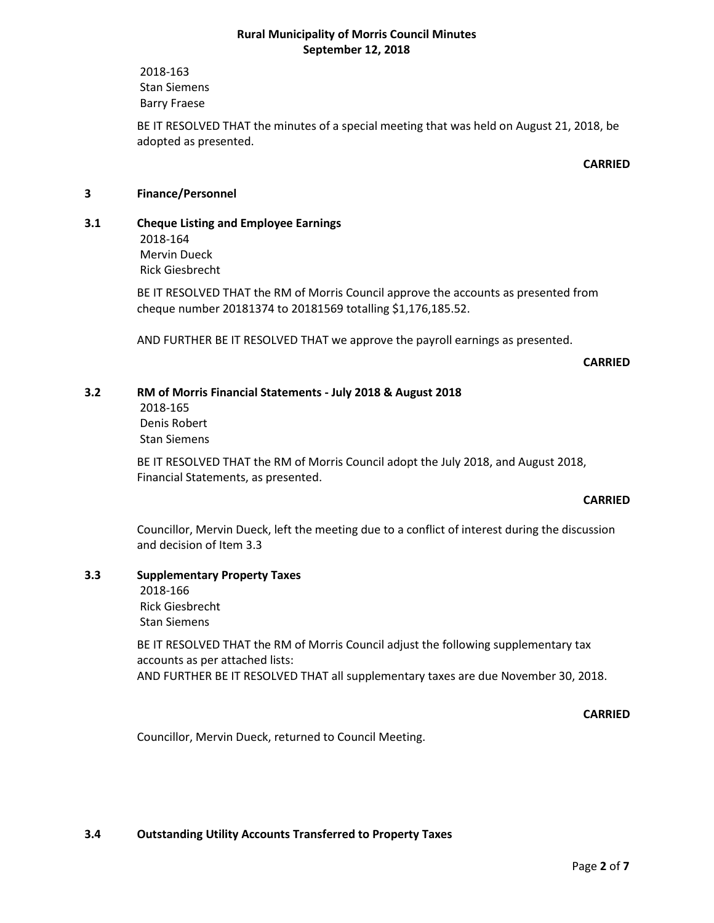2018-163 Stan Siemens Barry Fraese

BE IT RESOLVED THAT the minutes of a special meeting that was held on August 21, 2018, be adopted as presented.

### **CARRIED**

### **3 Finance/Personnel**

**3.1 Cheque Listing and Employee Earnings** 2018-164 Mervin Dueck Rick Giesbrecht

> BE IT RESOLVED THAT the RM of Morris Council approve the accounts as presented from cheque number 20181374 to 20181569 totalling \$1,176,185.52.

AND FURTHER BE IT RESOLVED THAT we approve the payroll earnings as presented.

**CARRIED**

### **3.2 RM of Morris Financial Statements - July 2018 & August 2018**

2018-165 Denis Robert Stan Siemens

BE IT RESOLVED THAT the RM of Morris Council adopt the July 2018, and August 2018, Financial Statements, as presented.

#### **CARRIED**

Councillor, Mervin Dueck, left the meeting due to a conflict of interest during the discussion and decision of Item 3.3

## **3.3 Supplementary Property Taxes**

2018-166 Rick Giesbrecht

Stan Siemens

BE IT RESOLVED THAT the RM of Morris Council adjust the following supplementary tax accounts as per attached lists: AND FURTHER BE IT RESOLVED THAT all supplementary taxes are due November 30, 2018.

**CARRIED**

Councillor, Mervin Dueck, returned to Council Meeting.

### **3.4 Outstanding Utility Accounts Transferred to Property Taxes**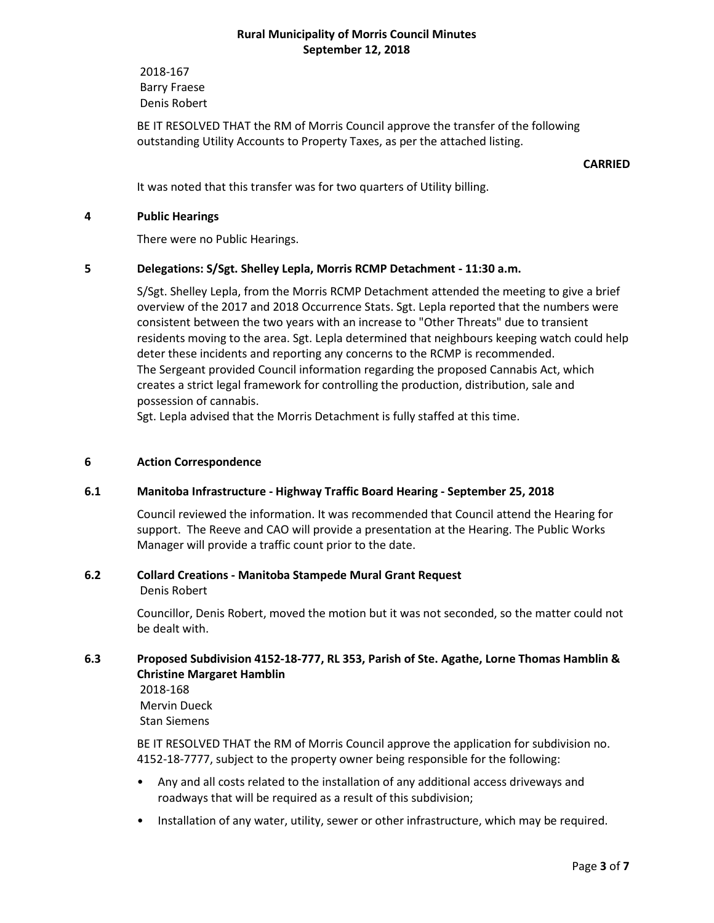2018-167 Barry Fraese Denis Robert

BE IT RESOLVED THAT the RM of Morris Council approve the transfer of the following outstanding Utility Accounts to Property Taxes, as per the attached listing.

### **CARRIED**

It was noted that this transfer was for two quarters of Utility billing.

### **4 Public Hearings**

There were no Public Hearings.

### **5 Delegations: S/Sgt. Shelley Lepla, Morris RCMP Detachment - 11:30 a.m.**

S/Sgt. Shelley Lepla, from the Morris RCMP Detachment attended the meeting to give a brief overview of the 2017 and 2018 Occurrence Stats. Sgt. Lepla reported that the numbers were consistent between the two years with an increase to "Other Threats" due to transient residents moving to the area. Sgt. Lepla determined that neighbours keeping watch could help deter these incidents and reporting any concerns to the RCMP is recommended. The Sergeant provided Council information regarding the proposed Cannabis Act, which creates a strict legal framework for controlling the production, distribution, sale and possession of cannabis.

Sgt. Lepla advised that the Morris Detachment is fully staffed at this time.

### **6 Action Correspondence**

#### **6.1 Manitoba Infrastructure - Highway Traffic Board Hearing - September 25, 2018**

Council reviewed the information. It was recommended that Council attend the Hearing for support. The Reeve and CAO will provide a presentation at the Hearing. The Public Works Manager will provide a traffic count prior to the date.

# **6.2 Collard Creations - Manitoba Stampede Mural Grant Request**

Denis Robert

Councillor, Denis Robert, moved the motion but it was not seconded, so the matter could not be dealt with.

### **6.3 Proposed Subdivision 4152-18-777, RL 353, Parish of Ste. Agathe, Lorne Thomas Hamblin & Christine Margaret Hamblin**

2018-168 Mervin Dueck

Stan Siemens

BE IT RESOLVED THAT the RM of Morris Council approve the application for subdivision no. 4152-18-7777, subject to the property owner being responsible for the following:

- Any and all costs related to the installation of any additional access driveways and roadways that will be required as a result of this subdivision;
- Installation of any water, utility, sewer or other infrastructure, which may be required.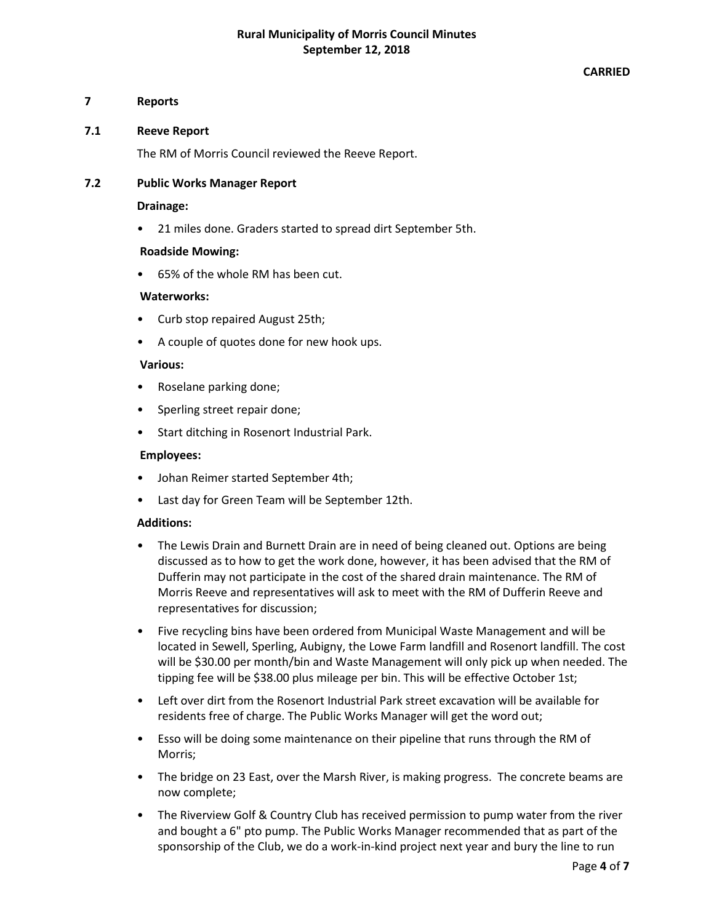### **CARRIED**

### **7 Reports**

### **7.1 Reeve Report**

The RM of Morris Council reviewed the Reeve Report.

### **7.2 Public Works Manager Report**

### **Drainage:**

• 21 miles done. Graders started to spread dirt September 5th.

#### **Roadside Mowing:**

• 65% of the whole RM has been cut.

#### **Waterworks:**

- Curb stop repaired August 25th;
- A couple of quotes done for new hook ups.

#### **Various:**

- Roselane parking done;
- Sperling street repair done;
- Start ditching in Rosenort Industrial Park.

### **Employees:**

- Johan Reimer started September 4th;
- Last day for Green Team will be September 12th.

#### **Additions:**

- The Lewis Drain and Burnett Drain are in need of being cleaned out. Options are being discussed as to how to get the work done, however, it has been advised that the RM of Dufferin may not participate in the cost of the shared drain maintenance. The RM of Morris Reeve and representatives will ask to meet with the RM of Dufferin Reeve and representatives for discussion;
- Five recycling bins have been ordered from Municipal Waste Management and will be located in Sewell, Sperling, Aubigny, the Lowe Farm landfill and Rosenort landfill. The cost will be \$30.00 per month/bin and Waste Management will only pick up when needed. The tipping fee will be \$38.00 plus mileage per bin. This will be effective October 1st;
- Left over dirt from the Rosenort Industrial Park street excavation will be available for residents free of charge. The Public Works Manager will get the word out;
- Esso will be doing some maintenance on their pipeline that runs through the RM of Morris;
- The bridge on 23 East, over the Marsh River, is making progress. The concrete beams are now complete;
- The Riverview Golf & Country Club has received permission to pump water from the river and bought a 6" pto pump. The Public Works Manager recommended that as part of the sponsorship of the Club, we do a work-in-kind project next year and bury the line to run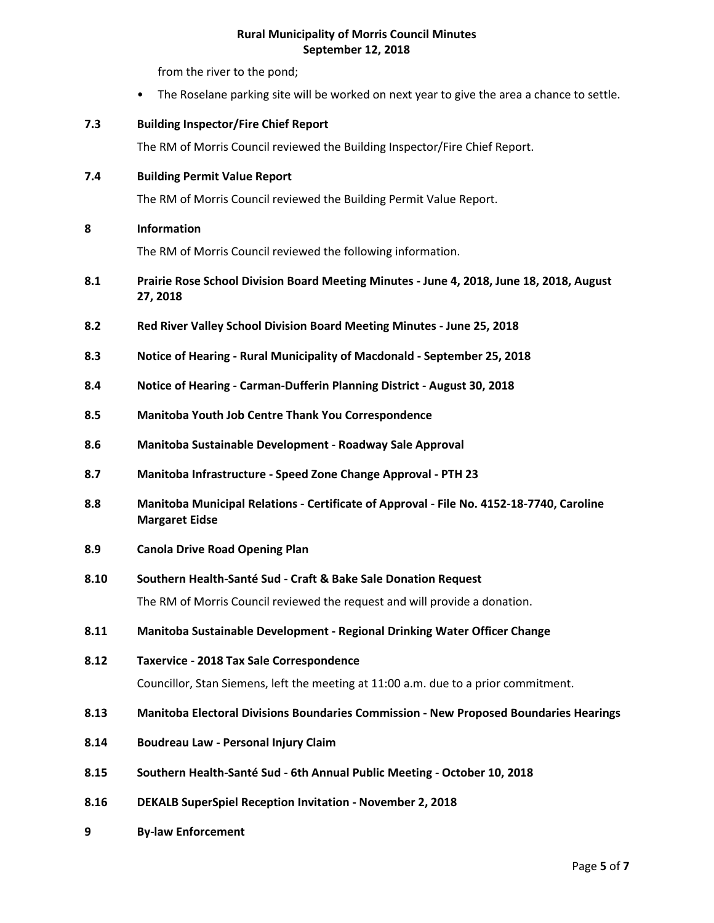from the river to the pond;

• The Roselane parking site will be worked on next year to give the area a chance to settle.

### **7.3 Building Inspector/Fire Chief Report**

The RM of Morris Council reviewed the Building Inspector/Fire Chief Report.

### **7.4 Building Permit Value Report**

The RM of Morris Council reviewed the Building Permit Value Report.

### **8 Information**

The RM of Morris Council reviewed the following information.

- **8.1 Prairie Rose School Division Board Meeting Minutes - June 4, 2018, June 18, 2018, August 27, 2018**
- **8.2 Red River Valley School Division Board Meeting Minutes - June 25, 2018**
- **8.3 Notice of Hearing - Rural Municipality of Macdonald - September 25, 2018**
- **8.4 Notice of Hearing - Carman-Dufferin Planning District - August 30, 2018**
- **8.5 Manitoba Youth Job Centre Thank You Correspondence**
- **8.6 Manitoba Sustainable Development - Roadway Sale Approval**
- **8.7 Manitoba Infrastructure - Speed Zone Change Approval - PTH 23**
- **8.8 Manitoba Municipal Relations - Certificate of Approval - File No. 4152-18-7740, Caroline Margaret Eidse**
- **8.9 Canola Drive Road Opening Plan**

#### **8.10 Southern Health-Santé Sud - Craft & Bake Sale Donation Request**

The RM of Morris Council reviewed the request and will provide a donation.

- **8.11 Manitoba Sustainable Development - Regional Drinking Water Officer Change**
- **8.12 Taxervice - 2018 Tax Sale Correspondence**

Councillor, Stan Siemens, left the meeting at 11:00 a.m. due to a prior commitment.

- **8.13 Manitoba Electoral Divisions Boundaries Commission - New Proposed Boundaries Hearings**
- **8.14 Boudreau Law - Personal Injury Claim**
- **8.15 Southern Health-Santé Sud - 6th Annual Public Meeting - October 10, 2018**
- **8.16 DEKALB SuperSpiel Reception Invitation - November 2, 2018**
- **9 By-law Enforcement**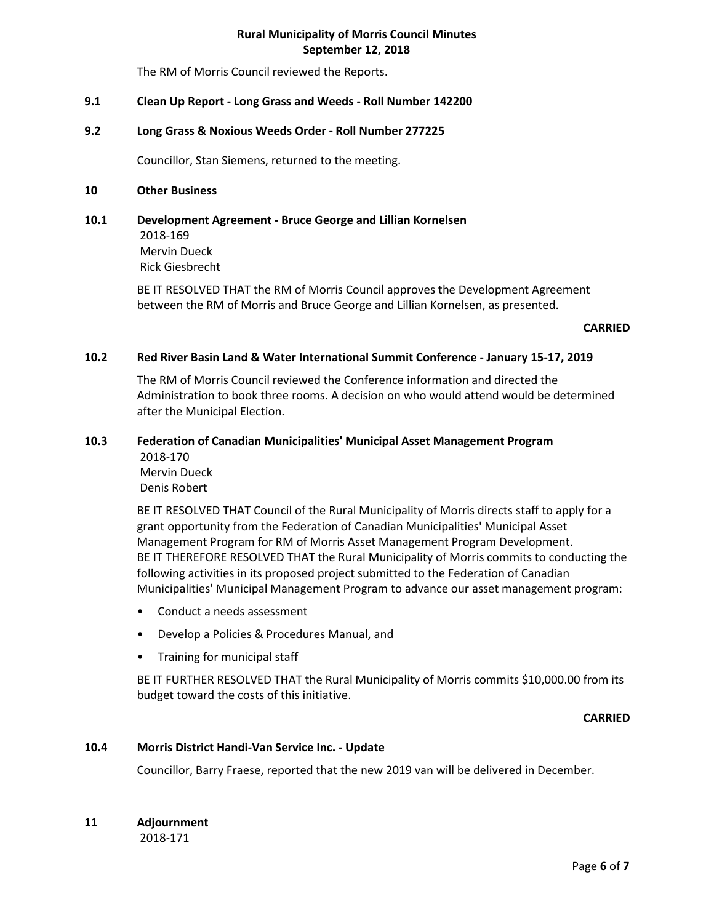The RM of Morris Council reviewed the Reports.

### **9.1 Clean Up Report - Long Grass and Weeds - Roll Number 142200**

#### **9.2 Long Grass & Noxious Weeds Order - Roll Number 277225**

Councillor, Stan Siemens, returned to the meeting.

#### **10 Other Business**

**10.1 Development Agreement - Bruce George and Lillian Kornelsen** 2018-169 Mervin Dueck Rick Giesbrecht

> BE IT RESOLVED THAT the RM of Morris Council approves the Development Agreement between the RM of Morris and Bruce George and Lillian Kornelsen, as presented.

#### **CARRIED**

#### **10.2 Red River Basin Land & Water International Summit Conference - January 15-17, 2019**

The RM of Morris Council reviewed the Conference information and directed the Administration to book three rooms. A decision on who would attend would be determined after the Municipal Election.

# **10.3 Federation of Canadian Municipalities' Municipal Asset Management Program**

2018-170 Mervin Dueck Denis Robert

BE IT RESOLVED THAT Council of the Rural Municipality of Morris directs staff to apply for a grant opportunity from the Federation of Canadian Municipalities' Municipal Asset Management Program for RM of Morris Asset Management Program Development. BE IT THEREFORE RESOLVED THAT the Rural Municipality of Morris commits to conducting the following activities in its proposed project submitted to the Federation of Canadian Municipalities' Municipal Management Program to advance our asset management program:

- Conduct a needs assessment
- Develop a Policies & Procedures Manual, and
- Training for municipal staff

BE IT FURTHER RESOLVED THAT the Rural Municipality of Morris commits \$10,000.00 from its budget toward the costs of this initiative.

**CARRIED**

#### **10.4 Morris District Handi-Van Service Inc. - Update**

Councillor, Barry Fraese, reported that the new 2019 van will be delivered in December.

**11 Adjournment**

2018-171